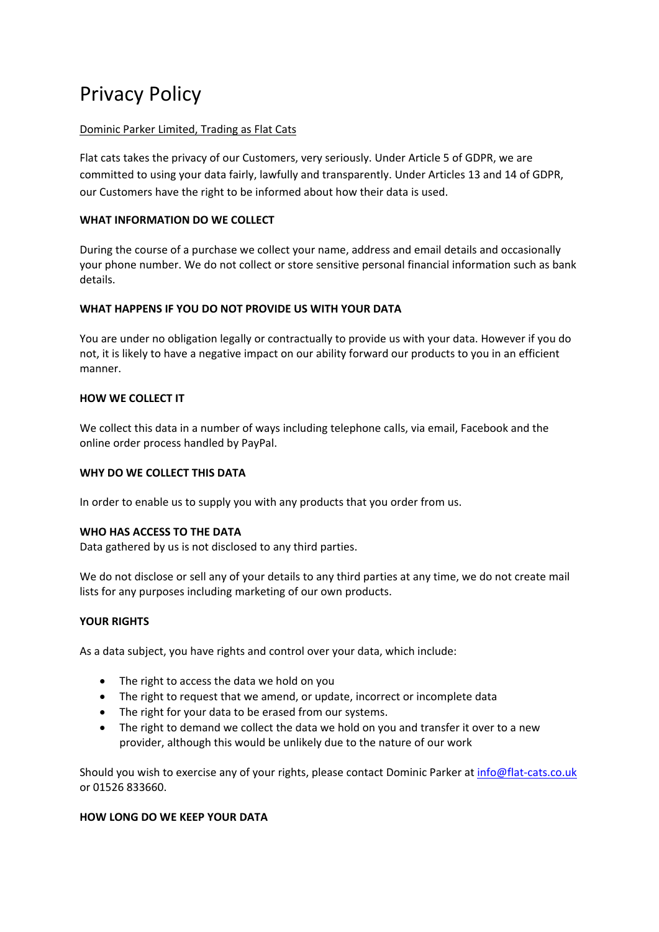# Privacy Policy

#### Dominic Parker Limited, Trading as Flat Cats

Flat cats takes the privacy of our Customers, very seriously. Under Article 5 of GDPR, we are committed to using your data fairly, lawfully and transparently. Under Articles 13 and 14 of GDPR, our Customers have the right to be informed about how their data is used.

# **WHAT INFORMATION DO WE COLLECT**

During the course of a purchase we collect your name, address and email details and occasionally your phone number. We do not collect or store sensitive personal financial information such as bank details.

# **WHAT HAPPENS IF YOU DO NOT PROVIDE US WITH YOUR DATA**

You are under no obligation legally or contractually to provide us with your data. However if you do not, it is likely to have a negative impact on our ability forward our products to you in an efficient manner.

# **HOW WE COLLECT IT**

We collect this data in a number of ways including telephone calls, via email, Facebook and the online order process handled by PayPal.

#### **WHY DO WE COLLECT THIS DATA**

In order to enable us to supply you with any products that you order from us.

#### **WHO HAS ACCESS TO THE DATA**

Data gathered by us is not disclosed to any third parties.

We do not disclose or sell any of your details to any third parties at any time, we do not create mail lists for any purposes including marketing of our own products.

#### **YOUR RIGHTS**

As a data subject, you have rights and control over your data, which include:

- The right to access the data we hold on you
- The right to request that we amend, or update, incorrect or incomplete data
- The right for your data to be erased from our systems.
- The right to demand we collect the data we hold on you and transfer it over to a new provider, although this would be unlikely due to the nature of our work

Should you wish to exercise any of your rights, please contact Dominic Parker at info@flat-cats.co.uk or 01526 833660.

#### **HOW LONG DO WE KEEP YOUR DATA**